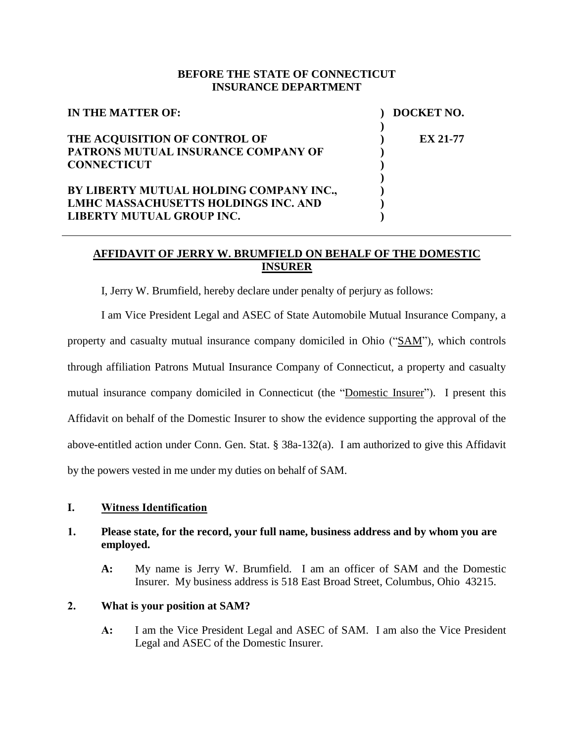#### **BEFORE THE STATE OF CONNECTICUT INSURANCE DEPARTMENT**

| IN THE MATTER OF:                           | DOCKET NO.      |
|---------------------------------------------|-----------------|
|                                             |                 |
| THE ACQUISITION OF CONTROL OF               | <b>EX 21-77</b> |
| PATRONS MUTUAL INSURANCE COMPANY OF         |                 |
| <b>CONNECTICUT</b>                          |                 |
|                                             |                 |
| BY LIBERTY MUTUAL HOLDING COMPANY INC.,     |                 |
| <b>LMHC MASSACHUSETTS HOLDINGS INC. AND</b> |                 |
| LIBERTY MUTUAL GROUP INC.                   |                 |

## **AFFIDAVIT OF JERRY W. BRUMFIELD ON BEHALF OF THE DOMESTIC INSURER**

I, Jerry W. Brumfield, hereby declare under penalty of perjury as follows:

I am Vice President Legal and ASEC of State Automobile Mutual Insurance Company, a property and casualty mutual insurance company domiciled in Ohio ("SAM"), which controls through affiliation Patrons Mutual Insurance Company of Connecticut, a property and casualty mutual insurance company domiciled in Connecticut (the "Domestic Insurer"). I present this Affidavit on behalf of the Domestic Insurer to show the evidence supporting the approval of the above-entitled action under Conn. Gen. Stat. § 38a-132(a). I am authorized to give this Affidavit by the powers vested in me under my duties on behalf of SAM.

#### **I. Witness Identification**

#### **1. Please state, for the record, your full name, business address and by whom you are employed.**

**A:** My name is Jerry W. Brumfield. I am an officer of SAM and the Domestic Insurer. My business address is 518 East Broad Street, Columbus, Ohio 43215.

#### **2. What is your position at SAM?**

**A:** I am the Vice President Legal and ASEC of SAM. I am also the Vice President Legal and ASEC of the Domestic Insurer.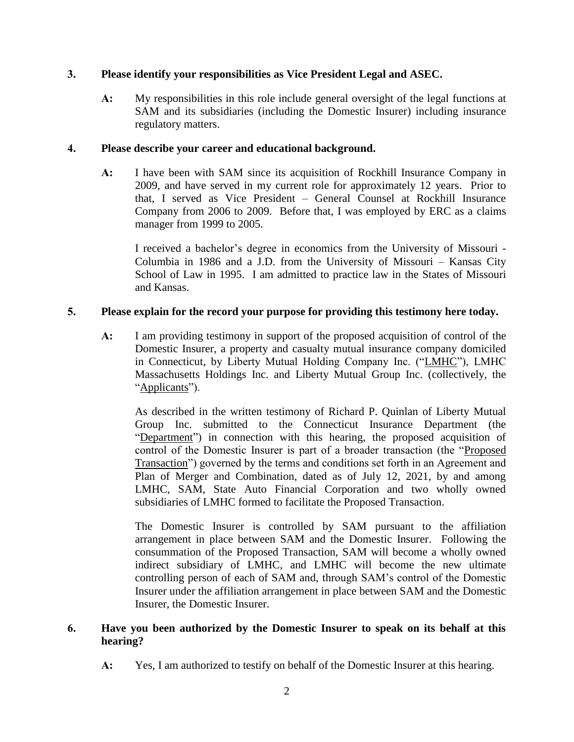## **3. Please identify your responsibilities as Vice President Legal and ASEC.**

**A:** My responsibilities in this role include general oversight of the legal functions at SAM and its subsidiaries (including the Domestic Insurer) including insurance regulatory matters.

### **4. Please describe your career and educational background.**

**A:** I have been with SAM since its acquisition of Rockhill Insurance Company in 2009, and have served in my current role for approximately 12 years. Prior to that, I served as Vice President – General Counsel at Rockhill Insurance Company from 2006 to 2009. Before that, I was employed by ERC as a claims manager from 1999 to 2005.

I received a bachelor's degree in economics from the University of Missouri - Columbia in 1986 and a J.D. from the University of Missouri – Kansas City School of Law in 1995. I am admitted to practice law in the States of Missouri and Kansas.

## **5. Please explain for the record your purpose for providing this testimony here today.**

**A:** I am providing testimony in support of the proposed acquisition of control of the Domestic Insurer, a property and casualty mutual insurance company domiciled in Connecticut, by Liberty Mutual Holding Company Inc. ("LMHC"), LMHC Massachusetts Holdings Inc. and Liberty Mutual Group Inc. (collectively, the "Applicants").

As described in the written testimony of Richard P. Quinlan of Liberty Mutual Group Inc. submitted to the Connecticut Insurance Department (the "Department") in connection with this hearing, the proposed acquisition of control of the Domestic Insurer is part of a broader transaction (the "Proposed Transaction") governed by the terms and conditions set forth in an Agreement and Plan of Merger and Combination, dated as of July 12, 2021, by and among LMHC, SAM, State Auto Financial Corporation and two wholly owned subsidiaries of LMHC formed to facilitate the Proposed Transaction.

The Domestic Insurer is controlled by SAM pursuant to the affiliation arrangement in place between SAM and the Domestic Insurer. Following the consummation of the Proposed Transaction, SAM will become a wholly owned indirect subsidiary of LMHC, and LMHC will become the new ultimate controlling person of each of SAM and, through SAM's control of the Domestic Insurer under the affiliation arrangement in place between SAM and the Domestic Insurer, the Domestic Insurer.

## **6. Have you been authorized by the Domestic Insurer to speak on its behalf at this hearing?**

**A:** Yes, I am authorized to testify on behalf of the Domestic Insurer at this hearing.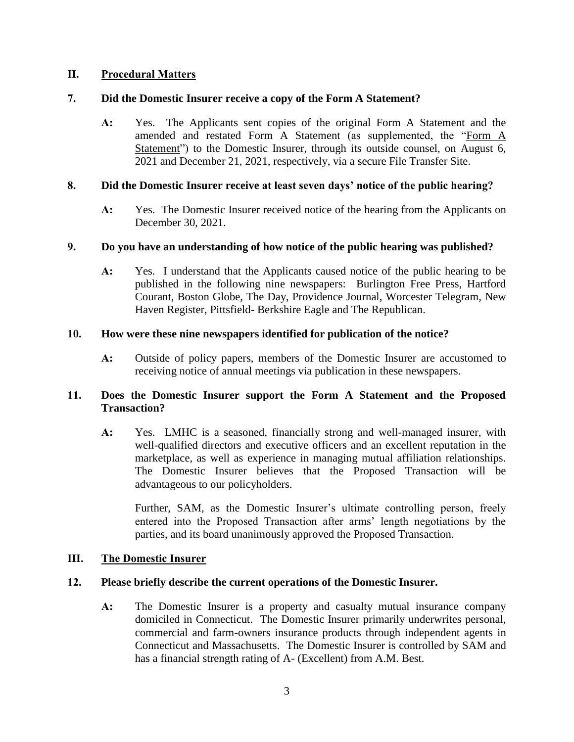### **II. Procedural Matters**

### **7. Did the Domestic Insurer receive a copy of the Form A Statement?**

**A:** Yes. The Applicants sent copies of the original Form A Statement and the amended and restated Form A Statement (as supplemented, the "Form A Statement") to the Domestic Insurer, through its outside counsel, on August 6, 2021 and December 21, 2021, respectively, via a secure File Transfer Site.

### **8. Did the Domestic Insurer receive at least seven days' notice of the public hearing?**

**A:** Yes. The Domestic Insurer received notice of the hearing from the Applicants on December 30, 2021.

#### **9. Do you have an understanding of how notice of the public hearing was published?**

**A:** Yes. I understand that the Applicants caused notice of the public hearing to be published in the following nine newspapers: Burlington Free Press, Hartford Courant, Boston Globe, The Day, Providence Journal, Worcester Telegram, New Haven Register, Pittsfield- Berkshire Eagle and The Republican.

## **10. How were these nine newspapers identified for publication of the notice?**

**A:** Outside of policy papers, members of the Domestic Insurer are accustomed to receiving notice of annual meetings via publication in these newspapers.

## **11. Does the Domestic Insurer support the Form A Statement and the Proposed Transaction?**

**A:** Yes. LMHC is a seasoned, financially strong and well-managed insurer, with well-qualified directors and executive officers and an excellent reputation in the marketplace, as well as experience in managing mutual affiliation relationships. The Domestic Insurer believes that the Proposed Transaction will be advantageous to our policyholders.

Further, SAM, as the Domestic Insurer's ultimate controlling person, freely entered into the Proposed Transaction after arms' length negotiations by the parties, and its board unanimously approved the Proposed Transaction.

### **III. The Domestic Insurer**

#### **12. Please briefly describe the current operations of the Domestic Insurer.**

**A:** The Domestic Insurer is a property and casualty mutual insurance company domiciled in Connecticut. The Domestic Insurer primarily underwrites personal, commercial and farm-owners insurance products through independent agents in Connecticut and Massachusetts. The Domestic Insurer is controlled by SAM and has a financial strength rating of A- (Excellent) from A.M. Best.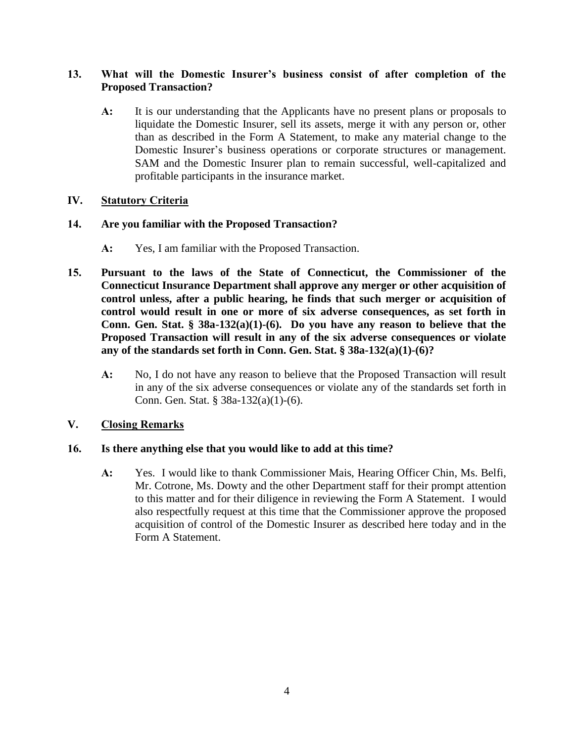## **13. What will the Domestic Insurer's business consist of after completion of the Proposed Transaction?**

**A:** It is our understanding that the Applicants have no present plans or proposals to liquidate the Domestic Insurer, sell its assets, merge it with any person or, other than as described in the Form A Statement, to make any material change to the Domestic Insurer's business operations or corporate structures or management. SAM and the Domestic Insurer plan to remain successful, well-capitalized and profitable participants in the insurance market.

## **IV. Statutory Criteria**

## **14. Are you familiar with the Proposed Transaction?**

- **A:** Yes, I am familiar with the Proposed Transaction.
- **15. Pursuant to the laws of the State of Connecticut, the Commissioner of the Connecticut Insurance Department shall approve any merger or other acquisition of control unless, after a public hearing, he finds that such merger or acquisition of control would result in one or more of six adverse consequences, as set forth in Conn. Gen. Stat. § 38a-132(a)(1)-(6). Do you have any reason to believe that the Proposed Transaction will result in any of the six adverse consequences or violate any of the standards set forth in Conn. Gen. Stat. § 38a-132(a)(1)-(6)?**
	- **A:** No, I do not have any reason to believe that the Proposed Transaction will result in any of the six adverse consequences or violate any of the standards set forth in Conn. Gen. Stat. § 38a-132(a)(1)-(6).

# **V. Closing Remarks**

# **16. Is there anything else that you would like to add at this time?**

**A:** Yes. I would like to thank Commissioner Mais, Hearing Officer Chin, Ms. Belfi, Mr. Cotrone, Ms. Dowty and the other Department staff for their prompt attention to this matter and for their diligence in reviewing the Form A Statement. I would also respectfully request at this time that the Commissioner approve the proposed acquisition of control of the Domestic Insurer as described here today and in the Form A Statement.